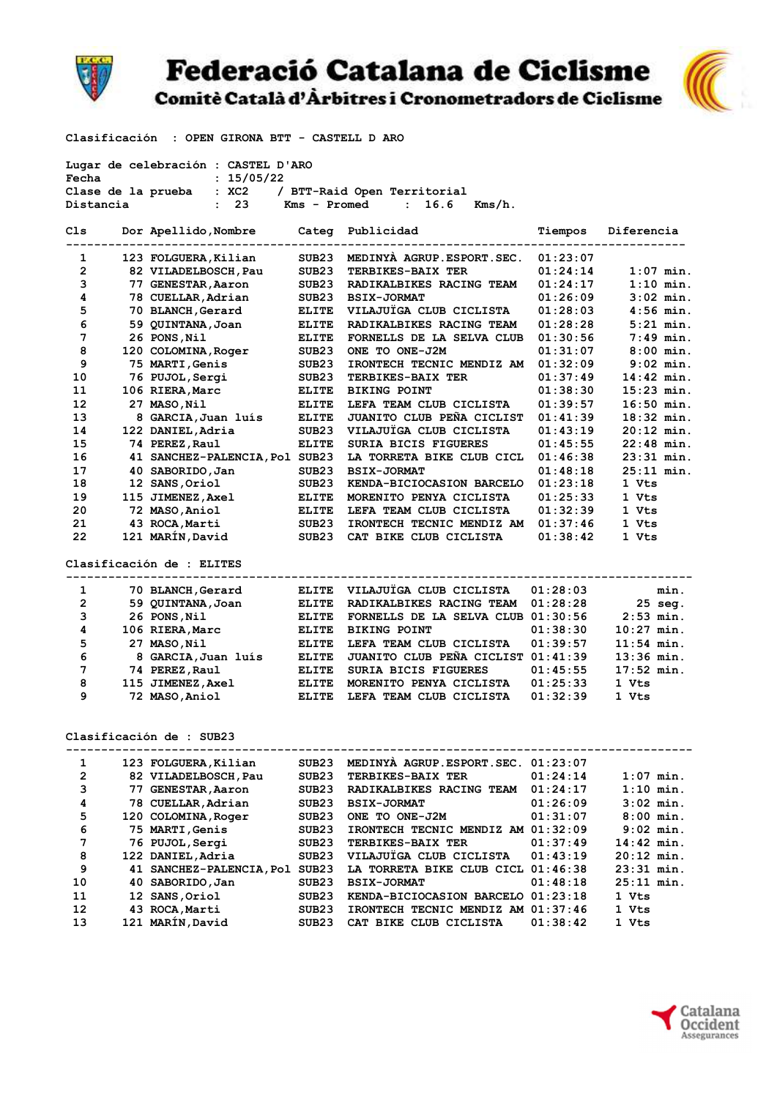

## **Federació Catalana de Ciclisme**

Comitè Català d'Àrbitres i Cronometradors de Ciclisme



Clasificación : OPEN GIRONA BTT - CASTELL D ARO

Lugar de celebración : CASTEL D'ARO

| Fecha          |  | : 15/05/22                                           |                   |                                      |          |              |  |  |  |  |
|----------------|--|------------------------------------------------------|-------------------|--------------------------------------|----------|--------------|--|--|--|--|
|                |  | Clase de la prueba : XC2 / BTT-Raid Open Territorial |                   |                                      |          |              |  |  |  |  |
| Distancia      |  | : 23 Kms - Promed                                    |                   | : 16.6<br>Kms/h.                     |          |              |  |  |  |  |
|                |  |                                                      |                   |                                      |          |              |  |  |  |  |
| Cls            |  | Dor Apellido, Nombre Categ Publicidad                |                   |                                      | Tiempos  | Diferencia   |  |  |  |  |
|                |  |                                                      |                   |                                      |          |              |  |  |  |  |
| 1              |  | 123 FOLGUERA, Kilian                                 | SUB23             | MEDINYA AGRUP.ESPORT.SEC.            | 01:23:07 |              |  |  |  |  |
| $\mathbf{2}$   |  | 82 VILADELBOSCH, Pau                                 | SUB23             | TERBIKES-BAIX TER                    | 01:24:14 | $1:07$ min.  |  |  |  |  |
| 3              |  | 77 GENESTAR, Aaron                                   | SUB23             | RADIKALBIKES RACING TEAM             | 01:24:17 | $1:10$ min.  |  |  |  |  |
| 4              |  | 78 CUELLAR, Adrian                                   | SUB23             | <b>BSIX-JORMAT</b>                   | 01:26:09 | $3:02$ min.  |  |  |  |  |
| 5              |  | 70 BLANCH, Gerard                                    | ELITE             | VILAJUÏGA CLUB CICLISTA              | 01:28:03 | $4:56$ min.  |  |  |  |  |
| 6              |  | 59 QUINTANA, Joan                                    | ELITE             | RADIKALBIKES RACING TEAM             | 01:28:28 | $5:21$ min.  |  |  |  |  |
| 7              |  | 26 PONS, Nil                                         | <b>ELITE</b>      | FORNELLS DE LA SELVA CLUB            | 01:30:56 | $7:49$ min.  |  |  |  |  |
| 8              |  | 120 COLOMINA, Roger                                  | SUB23             | ONE TO ONE-J2M                       | 01:31:07 | $8:00$ min.  |  |  |  |  |
| 9              |  | 75 MARTI, Genis                                      | SUB23             | IRONTECH TECNIC MENDIZ AM            | 01:32:09 | $9:02$ min.  |  |  |  |  |
| 10             |  | 76 PUJOL, Sergi                                      | SUB23             | <b>TERBIKES-BAIX TER</b>             | 01:37:49 | $14:42$ min. |  |  |  |  |
| 11             |  | 106 RIERA, Marc                                      | <b>ELITE</b>      | <b>BIKING POINT</b>                  | 01:38:30 | $15:23$ min. |  |  |  |  |
| 12             |  | 27 MASO, Nil                                         | <b>ELITE</b>      | LEFA TEAM CLUB CICLISTA              | 01:39:57 | $16:50$ min. |  |  |  |  |
| 13             |  | 8 GARCIA, Juan luís                                  | <b>ELITE</b>      | <b>JUANITO CLUB PEÑA CICLIST</b>     | 01:41:39 | $18:32$ min. |  |  |  |  |
| 14             |  | 122 DANIEL, Adria                                    | SUB23             | VILAJUÏGA CLUB CICLISTA              | 01:43:19 | $20:12$ min. |  |  |  |  |
| 15             |  | 74 PEREZ, Raul                                       | <b>ELITE</b>      | SURIA BICIS FIGUERES                 | 01:45:55 | $22:48$ min. |  |  |  |  |
| 16             |  | 41 SANCHEZ-PALENCIA, Pol SUB23                       |                   | LA TORRETA BIKE CLUB CICL            | 01:46:38 | $23:31$ min. |  |  |  |  |
| 17             |  | 40 SABORIDO, Jan                                     | SUB23             | <b>BSIX-JORMAT</b>                   | 01:48:18 | $25:11$ min. |  |  |  |  |
| 18             |  | 12 SANS, Oriol                                       | SUB23             | KENDA-BICIOCASION BARCELO            | 01:23:18 | 1 Vts        |  |  |  |  |
| 19             |  | 115 JIMENEZ, Axel                                    | ELITE             | MORENITO PENYA CICLISTA              | 01:25:33 | 1 Vts        |  |  |  |  |
| 20             |  | 72 MASO,Aniol                                        | <b>ELITE</b>      | LEFA TEAM CLUB CICLISTA              | 01:32:39 | 1 Vts        |  |  |  |  |
| 21             |  | 43 ROCA, Marti                                       |                   | IRONTECH TECNIC MENDIZ AM            | 01:37:46 | 1 Vts        |  |  |  |  |
| 22             |  | 121 MARÍN, David                                     | SUB23<br>SUB23    | CAT BIKE CLUB CICLISTA               | 01:38:42 | 1 Vts        |  |  |  |  |
|                |  |                                                      |                   |                                      |          |              |  |  |  |  |
|                |  | Clasificación de : ELITES                            |                   |                                      |          |              |  |  |  |  |
|                |  | -----------------                                    |                   |                                      |          |              |  |  |  |  |
| 1              |  | 70 BLANCH, Gerard                                    | <b>ELITE</b>      | VILAJUÏGA CLUB CICLISTA              | 01:28:03 | min.         |  |  |  |  |
| 2              |  | 59 QUINTANA, Joan                                    | ELITE             | RADIKALBIKES RACING TEAM             | 01:28:28 | $25$ seq.    |  |  |  |  |
| 3              |  | 26 PONS, Nil                                         | ELITE             | FORNELLS DE LA SELVA CLUB 01:30:56   |          | $2:53$ min.  |  |  |  |  |
| 4              |  | 106 RIERA, Marc                                      | ELITE             | <b>BIKING POINT</b>                  | 01:38:30 | $10:27$ min. |  |  |  |  |
| 5              |  | 27 MASO, Nil                                         | <b>ELITE</b>      | LEFA TEAM CLUB CICLISTA              | 01:39:57 | $11:54$ min. |  |  |  |  |
| 6              |  | 8 GARCIA, Juan luís                                  | <b>ELITE</b>      | JUANITO CLUB PEÑA CICLIST 01:41:39   |          | $13:36$ min. |  |  |  |  |
| 7              |  | 74 PEREZ, Raul                                       | ELITE             | SURIA BICIS FIGUERES                 | 01:45:55 | $17:52$ min. |  |  |  |  |
| 8              |  | 115 JIMENEZ, Axel ELITE                              |                   | MORENITO PENYA CICLISTA              | 01:25:33 | 1 Vts        |  |  |  |  |
| 9              |  | ELITE<br>72 MASO,Aniol                               |                   | LEFA TEAM CLUB CICLISTA              | 01:32:39 | 1 Vts        |  |  |  |  |
|                |  |                                                      |                   |                                      |          |              |  |  |  |  |
|                |  |                                                      |                   |                                      |          |              |  |  |  |  |
|                |  | Clasificación de : SUB23                             |                   |                                      |          |              |  |  |  |  |
|                |  |                                                      |                   |                                      |          |              |  |  |  |  |
| 1              |  | 123 FOLGUERA, Kilian                                 | SUB23             | MEDINYA AGRUP. ESPORT. SEC. 01:23:07 |          |              |  |  |  |  |
| $\overline{2}$ |  | 82 VILADELBOSCH, Pau                                 | SUB23             | TERBIKES-BAIX TER                    | 01:24:14 | $1:07$ min.  |  |  |  |  |
| 3              |  | 77 GENESTAR, Aaron                                   | SUB23             | RADIKALBIKES RACING TEAM             | 01:24:17 | $1:10$ min.  |  |  |  |  |
| 4              |  | 78 CUELLAR, Adrian                                   | SUB23             | <b>BSIX-JORMAT</b>                   | 01:26:09 | 3:02 min.    |  |  |  |  |
| 5              |  | 120 COLOMINA, Roger                                  | SUB23             | ONE TO ONE-J2M                       | 01:31:07 | $8:00$ min.  |  |  |  |  |
| 6              |  | 75 MARTI, Genis                                      | SUB23             | IRONTECH TECNIC MENDIZ AM 01:32:09   |          | $9:02$ min.  |  |  |  |  |
| 7              |  | 76 PUJOL, Sergi                                      | SUB <sub>23</sub> | TERBIKES-BAIX TER                    | 01:37:49 | $14:42$ min. |  |  |  |  |
| 8              |  | 122 DANIEL, Adria                                    | SUB23             | VILAJUÏGA CLUB CICLISTA              | 01:43:19 | $20:12$ min. |  |  |  |  |
| 9              |  | 41 SANCHEZ-PALENCIA, Pol SUB23                       |                   | LA TORRETA BIKE CLUB CICL 01:46:38   |          | 23:31 min.   |  |  |  |  |
| 10             |  | 40 SABORIDO, Jan                                     | SUB23             | <b>BSIX-JORMAT</b>                   | 01:48:18 | 25:11 min.   |  |  |  |  |
| 11             |  | 12 SANS, Oriol                                       | SUB23             | KENDA-BICIOCASION BARCELO 01:23:18   |          | 1 Vts        |  |  |  |  |
| 12             |  | 43 ROCA, Marti                                       |                   | IRONTECH TECNIC MENDIZ AM 01:37:46   |          |              |  |  |  |  |
| 13             |  | 121 MARÍN, David                                     | SUB23             | CAT BIKE CLUB CICLISTA               | 01:38:42 | 1 Vts        |  |  |  |  |
|                |  |                                                      | SUB23             |                                      |          | 1 Vts        |  |  |  |  |